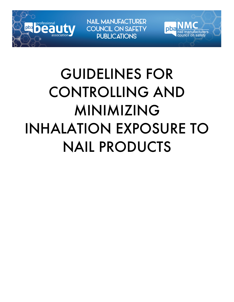

**NAIL MANUFACTURER COUNCIL ON SAFETY PUBLICATIONS** 

pb

# GUIDELINES FOR CONTROLLING AND MINIMIZING INHALATION EXPOSURE TO NAIL PRODUCTS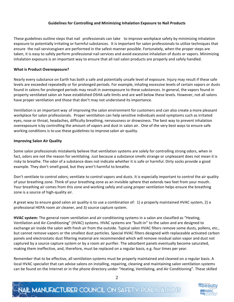#### **Guidelines for Controlling and Minimizing Inhalation Exposure to Nail Products**

These guidelines outline steps that nail professionals can take to improve workplace safety by minimizing inhalation exposure to potentially irritating or harmful substances. It is important for salon professionals to utilize techniques that ensure the nail servicesgiven are performed in the safest manner possible. Fortunately, when the proper steps are taken, it is easy to safely perform professional nail services and avoid excessive inhalation of dusts or vapors. Minimizing inhalation exposure is an important way to ensure that all nail salon products are properly and safely handled.

#### **What is Product Overexposure?**

Nearly every substance on Earth has both a safe and potentially unsafe level of exposure. Injury may result if these safe levels are exceeded repeatedly or for prolonged periods. For example, inhaling excessive levels of certain vapors or dusts found in salons for prolonged periods may result in overexposure to these substances. In general, the vapors found in property ventilated salon air have established OSHA safe limits and are well below these levels. However, not all salons have proper ventilation and those that don't may not understand its importance.

Ventilation is an important way of improving the salon environment for customers and can also create a more pleasant workplace for salon professionals. Proper ventilation can help sensitive individuals avoid symptoms such as irritated eyes, nose or throat, headaches, difficulty breathing, nervousness or drowsiness. The best way to prevent inhalation overexposure is by controlling the amount of vapors and dust in salon air. One of the very best ways to ensure safe working conditions is to use these guidelines to improve salon air quality.

#### **Improving Salon Air Quality**

Some salon professionals mistakenly believe that ventilation systems are solely for controlling strong odors, when in fact, odors are not the reason for ventilating. Just because a substance smells strange or unpleasant does not mean it is risky to breathe. The odor of a substance does not indicate whether it is safe or harmful. Dirty socks provide a good example. They don't smell good, but they aren't harmful to breathe.

Don't ventilate to control odors; ventilate to control vapors and dusts. It is especially important to control the air quality of your breathing zone. Think of your breathing zone as an invisible sphere that extends two feet from your mouth. Your breathing air comes from this zone and working safely and using proper ventilation helps ensure the breathing zone is a source of high-quality air.

A great way to ensure good salon air quality is to use a combination of: 1) a properly maintained HVAC system, 2) a professional HEPA room air cleaner, and 3) source capture system.

**HVAC** system: The general room ventilation and air-conditioning systems in a salon are classified as "Heating, Ventilation and Air-Conditioning" (HVAC) systems. HVAC systems are "built-in" to the salon and are designed to exchange air inside the salon with fresh air from the outside. Typical salon HVAC filters remove some dusts, pollens, etc., but cannot remove vapors or the smallest dust particles. Special HVAC filters designed with replaceable activated carbon panels and electrostatic dust filtering material are recommended which will remove residual salon vapor and dust not captured by a source capture system or by a room air purifier. The adsorbent panels eventually become saturated, making them ineffective, and, therefore, must be replaced on a regular basis, e.g. four times per year.

Remember that to be effective, all ventilation systems must be properly maintained and cleaned on a regular basis. A local HVAC specialist that can advise salons on installing, repairing, cleaning and maintaining salon ventilation systems can be found on the Internet or in the phone directory under "Heating, Ventilating, and Air Conditioning". These skilled

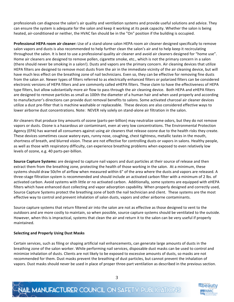professionals can diagnose the salon's air quality and ventilation systems and provide useful solutions and advice. They can ensure the system is adequate for the salon and keep it working at its peak capacity. Whether the salon is being heated, air-conditioned or neither, the HVAC fan should be in the "On" position if the building is occupied.

**Professional HEPA room air cleaner:** Use of a stand-alone salon HEPA room air cleaner designed specifically to remove salon vapors and dusts is also recommended to help further clean the salon's air and to help keep it recirculating throughout the salon. It is best to use a professional quality air cleaner and avoid air cleaners designed for "home use". Home air cleaners are designed to remove pollen, cigarette smoke, etc., which is not the primary concern in a salon (there should never be smoking in a salon!). Dusts and vapors are the primary concern. Air cleaning devices that utilize HEPA filters are designed to remove most dusts from the air in the immediate vicinity of the air cleaning device, but will have much less effect on the breathing zone of nail technicians. Even so, they can be effective for removing fine dusts from the salon air. Newer types of filters referred to as electrically enhanced filters or polarized filters can be considered electronic versions of HEPA filters and are commonly called eHEPA filters. These claim to have the effectiveness of HEPA type filters, but allow substantially more air flow to pass through the air cleaning device. Both HEPA and eHEPA filters are designed to remove particles as small as 100th the diameter of a human hair and when used properly and according to manufacturer's directions can provide dust removal benefits to salons. Some activated charcoal air cleaner devices utilize a dust pre-filter that is machine washable or replaceable. These devices are also considered effective ways to lower airborne dust concentrations. Note: NEVER rely solely on stand-alone air filtration in the salon.

Air cleaners that produce tiny amounts of ozone (parts-per-billion) may neutralize some odors, but they do not remove vapors or dusts. Ozone is a hazardous air contaminant, even at very low concentrations. The Environmental Protection Agency (EPA) has warned all consumers against using air cleaners that release ozone due to the health risks they create. These devices sometimes cause watery eyes, runny nose, coughing, chest tightness, metallic tastes in the mouth, shortness of breath, and blurred vision. These are not effective for controlling dusts or vapors in salons. Healthy people, as well as those with respiratory difficulty, can experience breathing problems when exposed to even relatively low levels of ozone, e.g. 40 parts-per-billion.

**Source Capture Systems:** are designed to capture nail vapors and dust particles at their source of release and then extract them from the breathing zone, protecting the health of those working in the salon. At a minimum, these systems should draw 50cfm of airflow when measured within 6" of the area where the dusts and vapors are released. A three-stage filtration system is recommended and should include an activated carbon filter with a minimum of 2 lbs. of activated carbon. Avoid systems with little or no activated carbon. Additionally, some systems are equipped with eHEPA filters which have enhanced dust collecting and vapor adsorption capability. When properly designed and correctly used, Source Capture Systems protect the breathing zone of both the nail technician and client. These systems are the most effective way to control and prevent inhalation of salon dusts, vapors and other airborne contaminants.

Source capture systems that return filtered air into the salon are not as effective as those designed to vent to the outdoors and are more costly to maintain, so when possible, source capture systems should be ventilated to the outside. However, when this is impractical, systems that clean the air and return it to the salon can be very useful if properly maintained.

#### **Selecting and Properly Using Dust Masks**

Certain services, such as filing or shaping artificial nail enhancements, can generate large amounts of dusts in the breathing zone of the salon worker. While performing nail services, disposable dust masks can be used to control and minimize inhalation of dusts. Clients are not likely to be exposed to excessive amounts of dusts, so masks are not recommended for them. Dust masks prevent the breathing of dust particles, but cannot prevent the inhalation of vapors. Dust masks should never be used in place of proper three-part ventilation as described in the previous section.



## **VAIL MANUFACTURER COUNCIL ON SAFETY PUBLICATIONS**